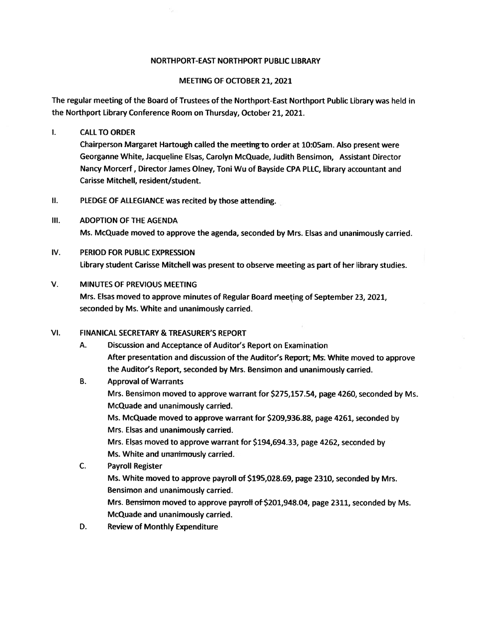#### NORTHPORT-EAST NORTHPORT PUBLIC LIBRARY

#### MEETING OF OCTOBER 21, 2021

The regular meeting of the Board of Trustees of the Northport-East Northport Public Library was held in the Northport Library Conference Room on Thursday, October 21, 2021.

#### $\mathbf{L}$ CALLTO ORDER

Chairperson Margaret Hartough called the meeting-to order at 10:05am. Also presen<sup>t</sup> were Georgarine White, Jacqueline Elsas, Carolyn McQuade, Judith Bensimon, Assistant Director Nancy Morcerf, Director James Olney, Toni Wu of Bayside CPA PLLC, library accountant and Carisse Mitchell, resident/student.

- II. PLEDGE OF ALLEGIANCE was recited by those attending.
- Ill. ADOPTION OF THE AGENDA Ms. McQuade moved to approve the agenda, seconded by Mrs. Elsas and unanimously carried.
- IV. PERIOD FOR PUBLIC EXPRESSION Library student Carisse Mitchell was presen<sup>t</sup> to observe meeting as par<sup>t</sup> of her library studies.

#### V. MINUTES OF PREVIOUS MEETING

Mrs. Elsas moved to approve minutes of Regular Board meeting of September 23, 2021, seconded by Ms. White and unanimously carried.

#### VI. FINANICAL SECRETARY & TREASURER'S REPORT

A. Discussion and Acceptance of Auditor's Report on Examination After presentation and discussion of the Auditor's Report, Ms. White moved to approve the Auditor's Report, seconded by Mrs. Bensimon and unanimously carried.

## B. Approval of Warrants Mrs. Bensimon moved to approve warrant for \$275,157.54, page 4260, seconded by Ms. McQuade and unanimously carried. Ms. McQuade moved to approve warrant for \$209,936.88, page 4261, seconded by Mrs. Elsas and unanimously carried. Mrs. Elsas moved to approve warrant for \$194,694.33, page 4262, seconded by Ms. White and unanimously carried.

- C. Payroll Register Ms. White moved to approve payroll of \$195,028.69, page 2310, seconded by Mrs. Bensimon and unanimously carried. Mrs. Bensimon moved to approve payroll of \$201,948.04, page 2311, seconded by Ms. McQuade and unanimously carried.
- D. Review of Monthly Expenditure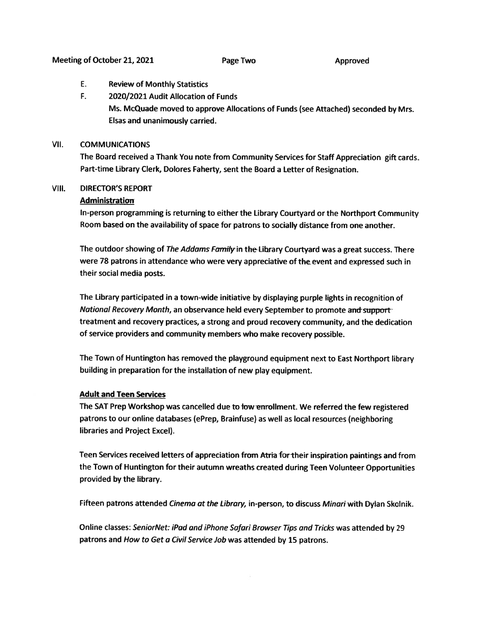- E. Review of Monthly Statistics
- F. 2020/2021 Audit Allocation of Funds Ms. McQuade moved to approve Allocations of Funds (see Attached) seconded by Mrs. Elsas and unanimously carried.

#### VII. COMMUNICATIONS

The Board received <sup>a</sup> Thank You note from Community Services for Staff Appreciation <sup>g</sup>ift cards. Part-time Library Clerk, Dolores Faherty, sent the Board <sup>a</sup> Letter of Resignation.

#### VIII. DIRECTOR'S REPORT

#### Administration

In-person programming is returning to either the Library Courtyard or the Northport Community Room based on the availability of space for patrons to socially distance from one another.

The outdoor showing of The Addams Family in the Library Courtyard was a great success. There were 78 patrons in attendance who were very appreciative of the event and expressed such in their social media posts.

The Library participated in <sup>a</sup> town-wide initiative by displaying purple lights in recognition of National Recovery Month, an observance held every September to promote and support treatment and recovery practices, <sup>a</sup> strong and proud recovery community, and the dedication of service providers and community members who make recovery possible.

The Town of Huntington has removed the <sup>p</sup>layground equipment next to East Northport library building in preparation for the installation of new <sup>p</sup>lay equipment.

#### Adult and Teen Services

The SAT Prep Workshop was cancelled due to low enrollment. We referred the few registered patrons to our online databases (ePrep, Brainfuse) as well as local resources (neighboring libraries and Project Excel).

Teen Services received letters of appreciation from Atria for their inspiration paintings and from the Town of Huntington for their autumn wreaths created during Teen Volunteer Opportunities provided by the library.

Fifteen patrons attended Cinema at the Library, in-person, to discuss Minari with Dylan Skolnik.

Online classes: SeniorNet: iPad and iPhone Safari Browser Tips and Tricks was attended by 29 patrons and How to Get <sup>a</sup> Civil Service Job was attended by <sup>15</sup> patrons.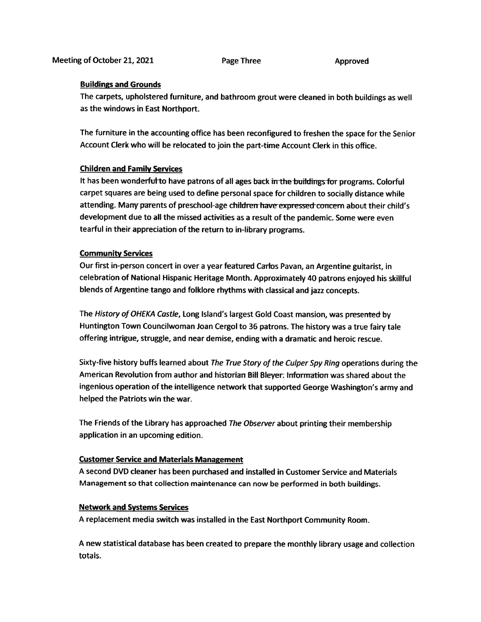#### Buildings and Grounds

The carpets, upholstered furniture, and bathroom grou<sup>t</sup> were cleaned in both buildings as well as the windows in East Northport.

The furniture in the accounting office has been reconfigured to freshen the space for the Senior Account Clerk who will be relocated to join the part-time Account Clerk in this office.

#### Children and Family Services

It has been wonderful to have patrons of all ages back in the buildings for programs. Colorful carpe<sup>t</sup> squares are being used to define persona<sup>l</sup> space for children to socially distance while attending. Many parents of preschool-age children have expressed concern about their child's development due to all the missed activities as <sup>a</sup> result of the pandemic. Some were even tearful in their appreciation of the return to in-library programs.

#### Community Services

Our first in-person concert in over <sup>a</sup> year featured Carlos Pavan, an Argentine guitarist, in celebration of National Hispanic Heritage Month. Approximately <sup>40</sup> patrons enjoyed his skillful blends of Argentine tango and folklore rhythms with classical and jazz concepts.

The History of OHEKA Castle, Long Island's largest Gold Coast mansion, was presented- by Huntington Town Councilwoman Joan Cergol to <sup>36</sup> patrons. The history was <sup>a</sup> true fairy tale offering intrigue, struggle, and near demise, ending with <sup>a</sup> dramatic and heroic rescue.

Sixty-five history buffs learned about The True Story of the Culper Spy Ring operations during the American Revolution from author and historian Bill Bleyer: Information was shared about the ingenious operation of the intelligence network that supported George Washington's army and helped the Patriots win the war.

The Friends of the Library has approached The Observer about printing their membership application in an upcoming edition.

#### Customer Service and Materials Management

A second DVD cleaner has been purchased and installed in Customer Service and Materials Management so that collection maintenance can now be performed in both buildings.

#### Network and Systems Services

<sup>A</sup> replacement media switch was installed in the East Northport Community Room.

<sup>A</sup> new statistical database has been created to prepare the monthly library usage and collection totals.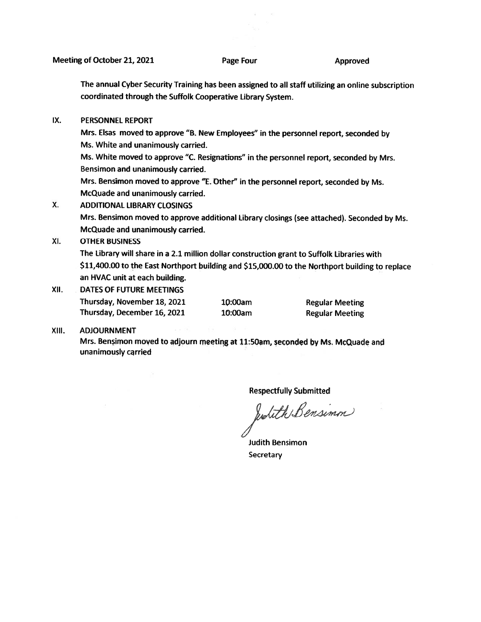The annual Cyber Security Training has been assigned to all staff utilizing an online subscription coordinated through the Suffolk Cooperative Library System.

IX. PERSONNEL REPORT

Mrs. Elsas moved to approve "B. New Employees" in the personne<sup>l</sup> report, seconded by Ms. White and unanimously carried.

Ms. White moved to approve "C. Resignations" in the personne<sup>l</sup> report, seconded by Mrs. Bensimon and unanimously carried.

Mrs. Bensimon moved to approve "E. Other" in the personne<sup>l</sup> report, seconded by Ms. McQuade and unanimously carried.

X. ADDITIONAL LIBRARY CLOSINGS

Mrs. Bensimon moved to approve additional Library closings (see attached). Seconded by Ms. McQuade and unanimously carried.

Xl. OTHER BUSINESS

The Library will share in <sup>a</sup> 2.1 million dollar construction gran<sup>t</sup> to Suffolk Libraries with \$11,400.00 to the East Northport building and \$15,000.00 to the Northport building to replace an HVAC unit at each building.

XII. DATES OF FUTURE MEETINGS Thursday, November 18, 2021 10:00am Regular Meeting

Thursday, December 16, 2021 10:00am Regular Meeting

#### XIII. ADJOURNMENT

Mrs. Bensimon moved to adjourn meeting at 11:50am, seconded by Ms. McQuade and unanimously carried

Respectfully Submitted<br>wouth Bensimm

Judith Bensimon **Secretary**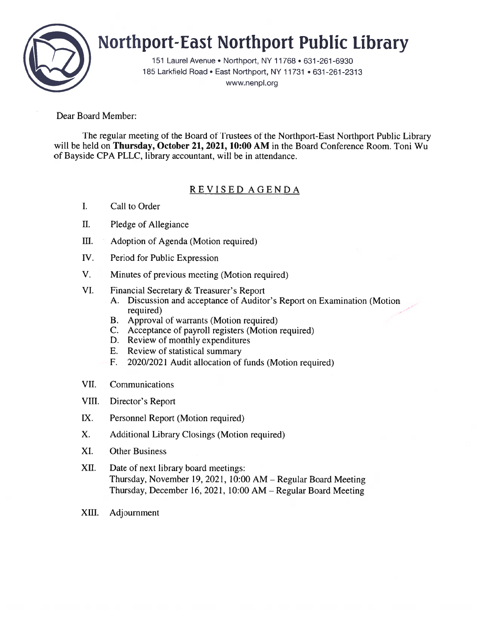

# Northport-East Northport Public library

151 Laurel Avenue • Northport, NY 11768 • 631-261-6930 185 Larkfield Road • East Northport, NY 11731 • 631-261-2313 www.nenpl.org

Dear Board Member:

The regular meeting of the Board of Trustees of the Northport-East Northport Public Library will be held on Thursday, October 21, 2021, 10:00 AM in the Board Conference Room. Toni Wu of Bayside CPA PLLC, library accountant, will be in attendance.

### REVISED AGENDA

- I. Call to Order
- II. Pledge of Allegiance
- III. Adoption of Agenda (Motion required)
- TV. Period for Public Expression
- V. Minutes of previous meeting (Motion required)
- VI. Financial Secretary & Treasurer's Report
	- A. Discussion and acceptance of Auditor's Report on Examination (Motion required)
	- B. Approval of warrants (Motion required)
	- C. Acceptance of payroll registers (Motion required)
	- D. Review of monthly expenditures
	- E. Review of statistical summary
	- F. 2020/2021 Audit allocation of funds (Motion required)
- VII. Communications
- VIII. Director's Report
- IX. Personnel Report (Motion required)
- X. Additional Library Closings (Motion required)
- XI. Other Business
- XII. Date of next library board meetings: Thursday, November 19, 2021, 10:00 AM — Regular Board Meeting Thursday, December 16, 2021, 10:00 AM — Regular Board Meeting
- XIII. Adjournment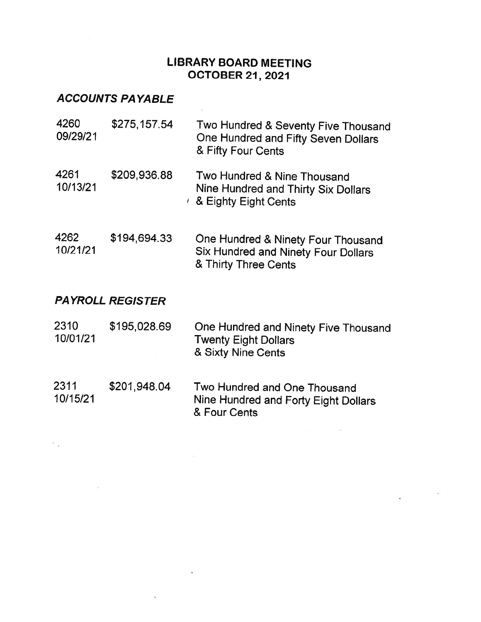## LIBRARY BOARD MEETING OCTOBER 21, 2021

 $\sim$ 

## ACCOUNTS PAYABLE

 $\mathbb{R}^p$  .  $\mathbb{R}^p$ 

| 4260<br>09/29/21        | \$275,157.54 | Two Hundred & Seventy Five Thousand<br>One Hundred and Fifty Seven Dollars<br>& Fifty Four Cents         |  |  |  |  |
|-------------------------|--------------|----------------------------------------------------------------------------------------------------------|--|--|--|--|
| 4261<br>10/13/21        | \$209,936.88 | Two Hundred & Nine Thousand<br>Nine Hundred and Thirty Six Dollars<br>$\ell$ & Eighty Eight Cents        |  |  |  |  |
| 4262<br>10/21/21        | \$194,694.33 | One Hundred & Ninety Four Thousand<br><b>Six Hundred and Ninety Four Dollars</b><br>& Thirty Three Cents |  |  |  |  |
| <b>PAYROLL REGISTER</b> |              |                                                                                                          |  |  |  |  |
| 2310<br>10/01/21        | \$195,028.69 | One Hundred and Ninety Five Thousand<br><b>Twenty Eight Dollars</b><br>& Sixty Nine Cents                |  |  |  |  |

2311 \$201,948.04 Two Hundred and One Thousand<br>10/15/21 Nine Hundred and Forty Fight Dol Nine Hundred and Forty Eight Dollars & Four Cents

 $\sim$ 

 $\tilde{\bullet}$ 

 $\omega$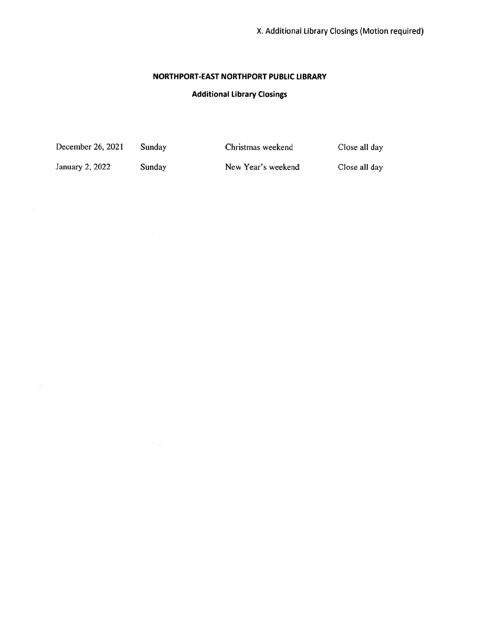#### NORTHPORT-EAST NORTHPORT PUBLIC LIBRARY

#### Additional Library Closings

December 26, 2021 Sunday Christmas weekend Close all day

January 2, 2022 Sunday New Year's weekend Close all day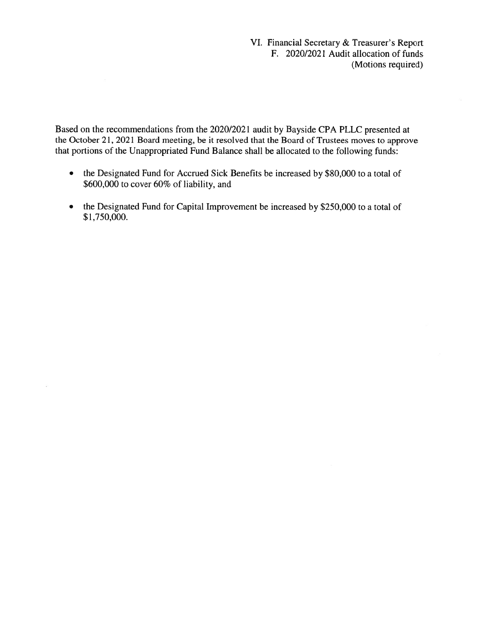VI. Financial Secretary & Treasurer's Report F. 2020/2021 Audit allocation of funds (Motions required)

Based on the recommendations from the 2020/202 1 audit by Bayside CPA PLLC presented at the October 21, 2021 Board meeting, be it resolved that the Board of Trustees moves to approve that portions of the Unappropriated Fund Balance shall be allocated to the following funds:

- • the Designated Fund for Accrued Sick Benefits be increased by \$80,000 to <sup>a</sup> total of \$600,000 to cover 60% of liability, and
- • the Designated Fund for Capital Improvement be increased by \$250,000 to <sup>a</sup> total of \$1,750,000.